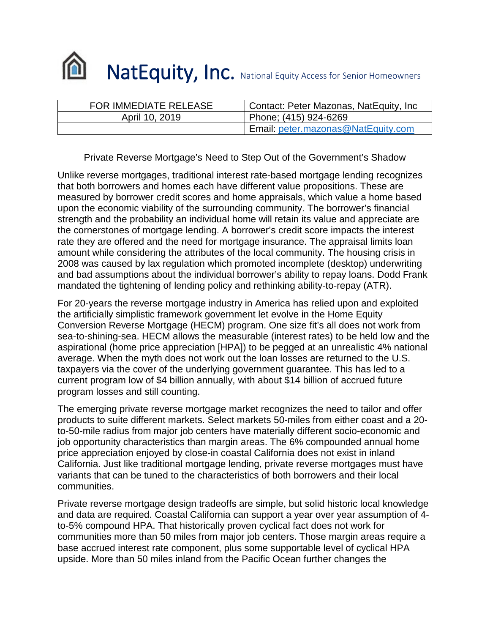

| <b>FOR IMMEDIATE RELEASE</b> | Contact: Peter Mazonas, NatEquity, Inc |
|------------------------------|----------------------------------------|
| April 10, 2019               | Phone; (415) 924-6269                  |
|                              | Email: peter.mazonas@NatEquity.com     |

Private Reverse Mortgage's Need to Step Out of the Government's Shadow

Unlike reverse mortgages, traditional interest rate-based mortgage lending recognizes that both borrowers and homes each have different value propositions. These are measured by borrower credit scores and home appraisals, which value a home based upon the economic viability of the surrounding community. The borrower's financial strength and the probability an individual home will retain its value and appreciate are the cornerstones of mortgage lending. A borrower's credit score impacts the interest rate they are offered and the need for mortgage insurance. The appraisal limits loan amount while considering the attributes of the local community. The housing crisis in 2008 was caused by lax regulation which promoted incomplete (desktop) underwriting and bad assumptions about the individual borrower's ability to repay loans. Dodd Frank mandated the tightening of lending policy and rethinking ability-to-repay (ATR).

For 20-years the reverse mortgage industry in America has relied upon and exploited the artificially simplistic framework government let evolve in the Home Equity Conversion Reverse Mortgage (HECM) program. One size fit's all does not work from sea-to-shining-sea. HECM allows the measurable (interest rates) to be held low and the aspirational (home price appreciation [HPA]) to be pegged at an unrealistic 4% national average. When the myth does not work out the loan losses are returned to the U.S. taxpayers via the cover of the underlying government guarantee. This has led to a current program low of \$4 billion annually, with about \$14 billion of accrued future program losses and still counting.

The emerging private reverse mortgage market recognizes the need to tailor and offer products to suite different markets. Select markets 50-miles from either coast and a 20 to-50-mile radius from major job centers have materially different socio-economic and job opportunity characteristics than margin areas. The 6% compounded annual home price appreciation enjoyed by close-in coastal California does not exist in inland California. Just like traditional mortgage lending, private reverse mortgages must have variants that can be tuned to the characteristics of both borrowers and their local communities.

Private reverse mortgage design tradeoffs are simple, but solid historic local knowledge and data are required. Coastal California can support a year over year assumption of 4 to-5% compound HPA. That historically proven cyclical fact does not work for communities more than 50 miles from major job centers. Those margin areas require a base accrued interest rate component, plus some supportable level of cyclical HPA upside. More than 50 miles inland from the Pacific Ocean further changes the